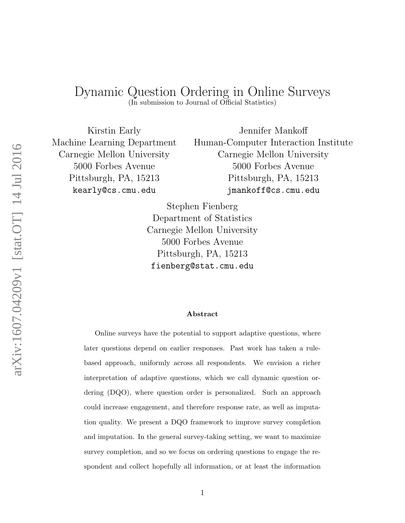# <span id="page-0-0"></span>Dynamic Question Ordering in Online Surveys

(In submission to Journal of Official Statistics)

Kirstin Early Machine Learning Department Carnegie Mellon University 5000 Forbes Avenue Pittsburgh, PA, 15213 kearly@cs.cmu.edu

Jennifer Mankoff Human-Computer Interaction Institute Carnegie Mellon University 5000 Forbes Avenue Pittsburgh, PA, 15213 jmankoff@cs.cmu.edu

Stephen Fienberg Department of Statistics Carnegie Mellon University 5000 Forbes Avenue Pittsburgh, PA, 15213 fienberg@stat.cmu.edu

#### Abstract

Online surveys have the potential to support adaptive questions, where later questions depend on earlier responses. Past work has taken a rulebased approach, uniformly across all respondents. We envision a richer interpretation of adaptive questions, which we call dynamic question ordering (DQO), where question order is personalized. Such an approach could increase engagement, and therefore response rate, as well as imputation quality. We present a DQO framework to improve survey completion and imputation. In the general survey-taking setting, we want to maximize survey completion, and so we focus on ordering questions to engage the respondent and collect hopefully all information, or at least the information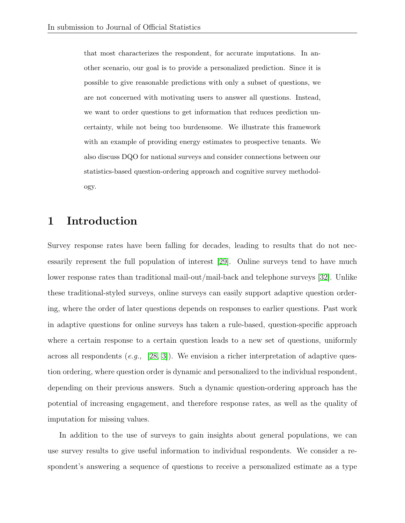that most characterizes the respondent, for accurate imputations. In another scenario, our goal is to provide a personalized prediction. Since it is possible to give reasonable predictions with only a subset of questions, we are not concerned with motivating users to answer all questions. Instead, we want to order questions to get information that reduces prediction uncertainty, while not being too burdensome. We illustrate this framework with an example of providing energy estimates to prospective tenants. We also discuss DQO for national surveys and consider connections between our statistics-based question-ordering approach and cognitive survey methodology.

## 1 Introduction

Survey response rates have been falling for decades, leading to results that do not necessarily represent the full population of interest [\[29\]](#page-33-0). Online surveys tend to have much lower response rates than traditional mail-out/mail-back and telephone surveys [\[32\]](#page-33-1). Unlike these traditional-styled surveys, online surveys can easily support adaptive question ordering, where the order of later questions depends on responses to earlier questions. Past work in adaptive questions for online surveys has taken a rule-based, question-specific approach where a certain response to a certain question leads to a new set of questions, uniformly across all respondents (e.g., [\[28,](#page-33-2) [3\]](#page-30-0)). We envision a richer interpretation of adaptive question ordering, where question order is dynamic and personalized to the individual respondent, depending on their previous answers. Such a dynamic question-ordering approach has the potential of increasing engagement, and therefore response rates, as well as the quality of imputation for missing values.

In addition to the use of surveys to gain insights about general populations, we can use survey results to give useful information to individual respondents. We consider a respondent's answering a sequence of questions to receive a personalized estimate as a type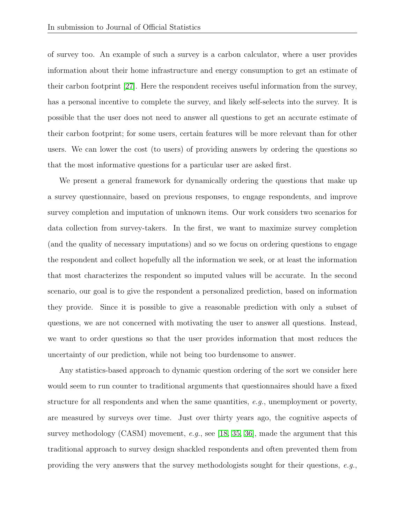of survey too. An example of such a survey is a carbon calculator, where a user provides information about their home infrastructure and energy consumption to get an estimate of their carbon footprint [\[27\]](#page-33-3). Here the respondent receives useful information from the survey, has a personal incentive to complete the survey, and likely self-selects into the survey. It is possible that the user does not need to answer all questions to get an accurate estimate of their carbon footprint; for some users, certain features will be more relevant than for other users. We can lower the cost (to users) of providing answers by ordering the questions so that the most informative questions for a particular user are asked first.

We present a general framework for dynamically ordering the questions that make up a survey questionnaire, based on previous responses, to engage respondents, and improve survey completion and imputation of unknown items. Our work considers two scenarios for data collection from survey-takers. In the first, we want to maximize survey completion (and the quality of necessary imputations) and so we focus on ordering questions to engage the respondent and collect hopefully all the information we seek, or at least the information that most characterizes the respondent so imputed values will be accurate. In the second scenario, our goal is to give the respondent a personalized prediction, based on information they provide. Since it is possible to give a reasonable prediction with only a subset of questions, we are not concerned with motivating the user to answer all questions. Instead, we want to order questions so that the user provides information that most reduces the uncertainty of our prediction, while not being too burdensome to answer.

Any statistics-based approach to dynamic question ordering of the sort we consider here would seem to run counter to traditional arguments that questionnaires should have a fixed structure for all respondents and when the same quantities,  $e, q,$ , unemployment or poverty, are measured by surveys over time. Just over thirty years ago, the cognitive aspects of survey methodology (CASM) movement, e.g., see [\[18,](#page-31-0) [35,](#page-34-0) [36\]](#page-34-1), made the argument that this traditional approach to survey design shackled respondents and often prevented them from providing the very answers that the survey methodologists sought for their questions, e.g.,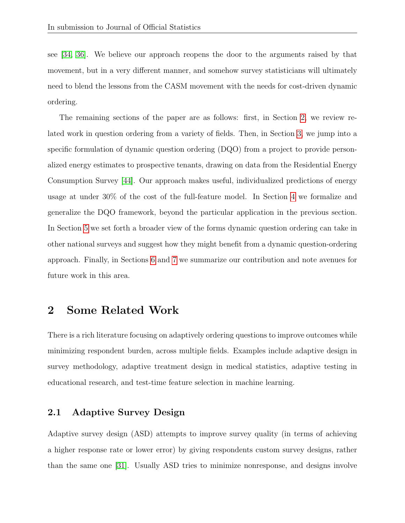see [\[34,](#page-33-4) [36\]](#page-34-1). We believe our approach reopens the door to the arguments raised by that movement, but in a very different manner, and somehow survey statisticians will ultimately need to blend the lessons from the CASM movement with the needs for cost-driven dynamic ordering.

The remaining sections of the paper are as follows: first, in Section [2,](#page-3-0) we review related work in question ordering from a variety of fields. Then, in Section [3,](#page-7-0) we jump into a specific formulation of dynamic question ordering (DQO) from a project to provide personalized energy estimates to prospective tenants, drawing on data from the Residential Energy Consumption Survey [\[44\]](#page-34-2). Our approach makes useful, individualized predictions of energy usage at under 30% of the cost of the full-feature model. In Section [4](#page-20-0) we formalize and generalize the DQO framework, beyond the particular application in the previous section. In Section [5](#page-22-0) we set forth a broader view of the forms dynamic question ordering can take in other national surveys and suggest how they might benefit from a dynamic question-ordering approach. Finally, in Sections [6](#page-27-0) and [7](#page-28-0) we summarize our contribution and note avenues for future work in this area.

## <span id="page-3-0"></span>2 Some Related Work

There is a rich literature focusing on adaptively ordering questions to improve outcomes while minimizing respondent burden, across multiple fields. Examples include adaptive design in survey methodology, adaptive treatment design in medical statistics, adaptive testing in educational research, and test-time feature selection in machine learning.

### 2.1 Adaptive Survey Design

Adaptive survey design (ASD) attempts to improve survey quality (in terms of achieving a higher response rate or lower error) by giving respondents custom survey designs, rather than the same one [\[31\]](#page-33-5). Usually ASD tries to minimize nonresponse, and designs involve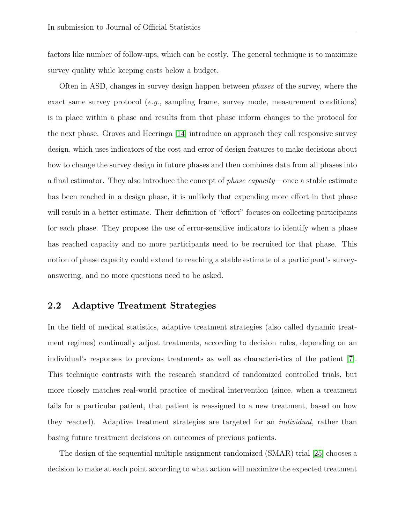factors like number of follow-ups, which can be costly. The general technique is to maximize survey quality while keeping costs below a budget.

Often in ASD, changes in survey design happen between phases of the survey, where the exact same survey protocol (e.g., sampling frame, survey mode, measurement conditions) is in place within a phase and results from that phase inform changes to the protocol for the next phase. Groves and Heeringa [\[14\]](#page-31-1) introduce an approach they call responsive survey design, which uses indicators of the cost and error of design features to make decisions about how to change the survey design in future phases and then combines data from all phases into a final estimator. They also introduce the concept of phase capacity—once a stable estimate has been reached in a design phase, it is unlikely that expending more effort in that phase will result in a better estimate. Their definition of "effort" focuses on collecting participants for each phase. They propose the use of error-sensitive indicators to identify when a phase has reached capacity and no more participants need to be recruited for that phase. This notion of phase capacity could extend to reaching a stable estimate of a participant's surveyanswering, and no more questions need to be asked.

#### 2.2 Adaptive Treatment Strategies

In the field of medical statistics, adaptive treatment strategies (also called dynamic treatment regimes) continually adjust treatments, according to decision rules, depending on an individual's responses to previous treatments as well as characteristics of the patient [\[7\]](#page-30-1). This technique contrasts with the research standard of randomized controlled trials, but more closely matches real-world practice of medical intervention (since, when a treatment fails for a particular patient, that patient is reassigned to a new treatment, based on how they reacted). Adaptive treatment strategies are targeted for an individual, rather than basing future treatment decisions on outcomes of previous patients.

The design of the sequential multiple assignment randomized (SMAR) trial [\[25\]](#page-32-0) chooses a decision to make at each point according to what action will maximize the expected treatment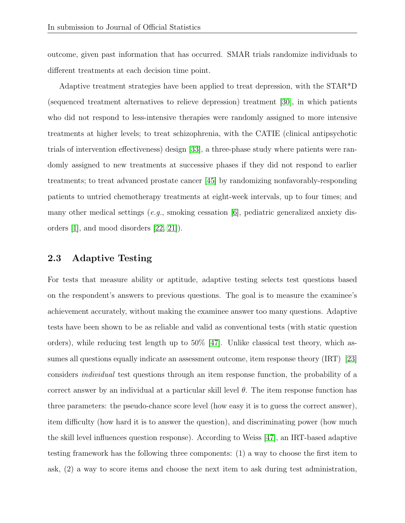outcome, given past information that has occurred. SMAR trials randomize individuals to different treatments at each decision time point.

Adaptive treatment strategies have been applied to treat depression, with the STAR\*D (sequenced treatment alternatives to relieve depression) treatment [\[30\]](#page-33-6), in which patients who did not respond to less-intensive therapies were randomly assigned to more intensive treatments at higher levels; to treat schizophrenia, with the CATIE (clinical antipsychotic trials of intervention effectiveness) design [\[33\]](#page-33-7), a three-phase study where patients were randomly assigned to new treatments at successive phases if they did not respond to earlier treatments; to treat advanced prostate cancer [\[45\]](#page-34-3) by randomizing nonfavorably-responding patients to untried chemotherapy treatments at eight-week intervals, up to four times; and many other medical settings (e.g., smoking cessation  $|6|$ , pediatric generalized anxiety disorders [\[1\]](#page-30-3), and mood disorders [\[22,](#page-32-1) [21\]](#page-32-2)).

#### 2.3 Adaptive Testing

For tests that measure ability or aptitude, adaptive testing selects test questions based on the respondent's answers to previous questions. The goal is to measure the examinee's achievement accurately, without making the examinee answer too many questions. Adaptive tests have been shown to be as reliable and valid as conventional tests (with static question orders), while reducing test length up to  $50\%$  [\[47\]](#page-35-0). Unlike classical test theory, which assumes all questions equally indicate an assessment outcome, item response theory (IRT) [\[23\]](#page-32-3) considers individual test questions through an item response function, the probability of a correct answer by an individual at a particular skill level  $\theta$ . The item response function has three parameters: the pseudo-chance score level (how easy it is to guess the correct answer), item difficulty (how hard it is to answer the question), and discriminating power (how much the skill level influences question response). According to Weiss [\[47\]](#page-35-0), an IRT-based adaptive testing framework has the following three components: (1) a way to choose the first item to ask, (2) a way to score items and choose the next item to ask during test administration,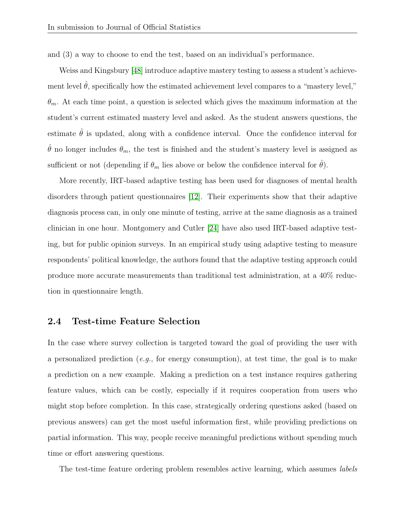and (3) a way to choose to end the test, based on an individual's performance.

Weiss and Kingsbury [\[48\]](#page-35-1) introduce adaptive mastery testing to assess a student's achievement level  $\hat{\theta}$ , specifically how the estimated achievement level compares to a "mastery level,"  $\theta_m$ . At each time point, a question is selected which gives the maximum information at the student's current estimated mastery level and asked. As the student answers questions, the estimate  $\hat{\theta}$  is updated, along with a confidence interval. Once the confidence interval for  $\hat{\theta}$  no longer includes  $\theta_m$ , the test is finished and the student's mastery level is assigned as sufficient or not (depending if  $\theta_m$  lies above or below the confidence interval for  $\theta$ ).

More recently, IRT-based adaptive testing has been used for diagnoses of mental health disorders through patient questionnaires [\[12\]](#page-31-2). Their experiments show that their adaptive diagnosis process can, in only one minute of testing, arrive at the same diagnosis as a trained clinician in one hour. Montgomery and Cutler [\[24\]](#page-32-4) have also used IRT-based adaptive testing, but for public opinion surveys. In an empirical study using adaptive testing to measure respondents' political knowledge, the authors found that the adaptive testing approach could produce more accurate measurements than traditional test administration, at a 40% reduction in questionnaire length.

#### 2.4 Test-time Feature Selection

In the case where survey collection is targeted toward the goal of providing the user with a personalized prediction (e.g., for energy consumption), at test time, the goal is to make a prediction on a new example. Making a prediction on a test instance requires gathering feature values, which can be costly, especially if it requires cooperation from users who might stop before completion. In this case, strategically ordering questions asked (based on previous answers) can get the most useful information first, while providing predictions on partial information. This way, people receive meaningful predictions without spending much time or effort answering questions.

The test-time feature ordering problem resembles active learning, which assumes *labels*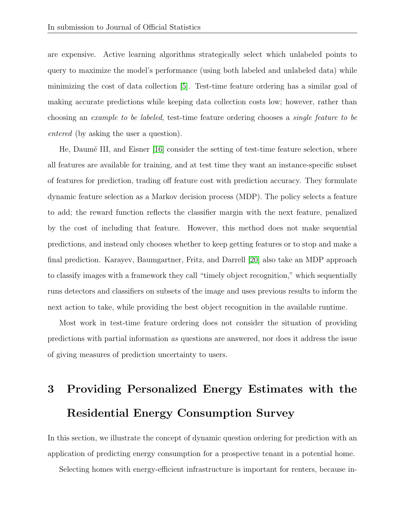are expensive. Active learning algorithms strategically select which unlabeled points to query to maximize the model's performance (using both labeled and unlabeled data) while minimizing the cost of data collection [\[5\]](#page-30-4). Test-time feature ordering has a similar goal of making accurate predictions while keeping data collection costs low; however, rather than choosing an example to be labeled, test-time feature ordering chooses a single feature to be entered (by asking the user a question).

He, Daumé III, and Eisner [\[16\]](#page-31-3) consider the setting of test-time feature selection, where all features are available for training, and at test time they want an instance-specific subset of features for prediction, trading off feature cost with prediction accuracy. They formulate dynamic feature selection as a Markov decision process (MDP). The policy selects a feature to add; the reward function reflects the classifier margin with the next feature, penalized by the cost of including that feature. However, this method does not make sequential predictions, and instead only chooses whether to keep getting features or to stop and make a final prediction. Karayev, Baumgartner, Fritz, and Darrell [\[20\]](#page-32-5) also take an MDP approach to classify images with a framework they call "timely object recognition," which sequentially runs detectors and classifiers on subsets of the image and uses previous results to inform the next action to take, while providing the best object recognition in the available runtime.

Most work in test-time feature ordering does not consider the situation of providing predictions with partial information as questions are answered, nor does it address the issue of giving measures of prediction uncertainty to users.

# <span id="page-7-0"></span>3 Providing Personalized Energy Estimates with the Residential Energy Consumption Survey

In this section, we illustrate the concept of dynamic question ordering for prediction with an application of predicting energy consumption for a prospective tenant in a potential home.

Selecting homes with energy-efficient infrastructure is important for renters, because in-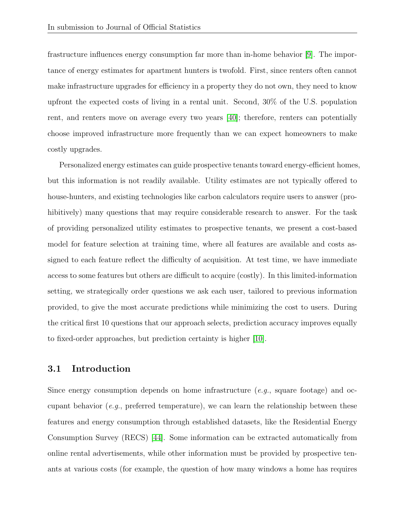frastructure influences energy consumption far more than in-home behavior [\[9\]](#page-31-4). The importance of energy estimates for apartment hunters is twofold. First, since renters often cannot make infrastructure upgrades for efficiency in a property they do not own, they need to know upfront the expected costs of living in a rental unit. Second, 30% of the U.S. population rent, and renters move on average every two years [\[40\]](#page-34-4); therefore, renters can potentially choose improved infrastructure more frequently than we can expect homeowners to make costly upgrades.

Personalized energy estimates can guide prospective tenants toward energy-efficient homes, but this information is not readily available. Utility estimates are not typically offered to house-hunters, and existing technologies like carbon calculators require users to answer (prohibitively) many questions that may require considerable research to answer. For the task of providing personalized utility estimates to prospective tenants, we present a cost-based model for feature selection at training time, where all features are available and costs assigned to each feature reflect the difficulty of acquisition. At test time, we have immediate access to some features but others are difficult to acquire (costly). In this limited-information setting, we strategically order questions we ask each user, tailored to previous information provided, to give the most accurate predictions while minimizing the cost to users. During the critical first 10 questions that our approach selects, prediction accuracy improves equally to fixed-order approaches, but prediction certainty is higher [\[10\]](#page-31-5).

#### 3.1 Introduction

Since energy consumption depends on home infrastructure (*e.g.*, square footage) and occupant behavior  $(e.g.,)$  preferred temperature), we can learn the relationship between these features and energy consumption through established datasets, like the Residential Energy Consumption Survey (RECS) [\[44\]](#page-34-2). Some information can be extracted automatically from online rental advertisements, while other information must be provided by prospective tenants at various costs (for example, the question of how many windows a home has requires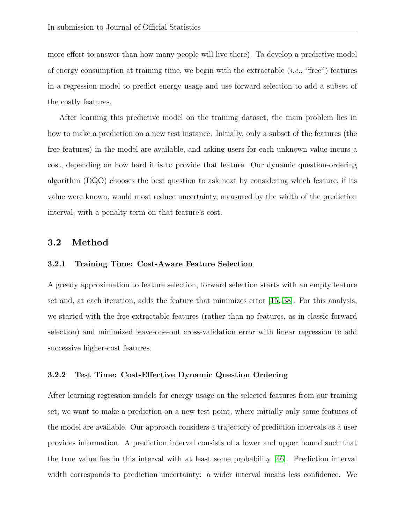more effort to answer than how many people will live there). To develop a predictive model of energy consumption at training time, we begin with the extractable  $(i.e., "free")$  features in a regression model to predict energy usage and use forward selection to add a subset of the costly features.

After learning this predictive model on the training dataset, the main problem lies in how to make a prediction on a new test instance. Initially, only a subset of the features (the free features) in the model are available, and asking users for each unknown value incurs a cost, depending on how hard it is to provide that feature. Our dynamic question-ordering algorithm (DQO) chooses the best question to ask next by considering which feature, if its value were known, would most reduce uncertainty, measured by the width of the prediction interval, with a penalty term on that feature's cost.

#### 3.2 Method

#### 3.2.1 Training Time: Cost-Aware Feature Selection

A greedy approximation to feature selection, forward selection starts with an empty feature set and, at each iteration, adds the feature that minimizes error [\[15,](#page-31-6) [38\]](#page-34-5). For this analysis, we started with the free extractable features (rather than no features, as in classic forward selection) and minimized leave-one-out cross-validation error with linear regression to add successive higher-cost features.

#### 3.2.2 Test Time: Cost-Effective Dynamic Question Ordering

After learning regression models for energy usage on the selected features from our training set, we want to make a prediction on a new test point, where initially only some features of the model are available. Our approach considers a trajectory of prediction intervals as a user provides information. A prediction interval consists of a lower and upper bound such that the true value lies in this interval with at least some probability [\[46\]](#page-35-2). Prediction interval width corresponds to prediction uncertainty: a wider interval means less confidence. We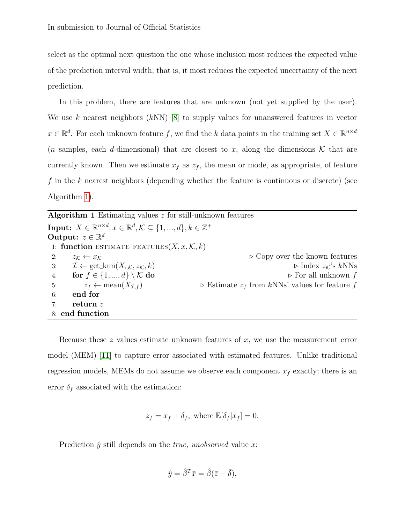select as the optimal next question the one whose inclusion most reduces the expected value of the prediction interval width; that is, it most reduces the expected uncertainty of the next prediction.

In this problem, there are features that are unknown (not yet supplied by the user). We use k nearest neighbors  $(kNN)$  [\[8\]](#page-30-5) to supply values for unanswered features in vector  $x \in \mathbb{R}^d$ . For each unknown feature f, we find the k data points in the training set  $X \in \mathbb{R}^{n \times d}$ (*n* samples, each *d*-dimensional) that are closest to x, along the dimensions  $\mathcal K$  that are currently known. Then we estimate  $x_f$  as  $z_f$ , the mean or mode, as appropriate, of feature f in the k nearest neighbors (depending whether the feature is continuous or discrete) (see Algorithm [1\)](#page-0-0).

| <b>Algorithm 1</b> Estimating values $z$ for still-unknown features                                              |                                                                 |  |  |  |
|------------------------------------------------------------------------------------------------------------------|-----------------------------------------------------------------|--|--|--|
| Input: $X \in \mathbb{R}^{n \times d}, x \in \mathbb{R}^d, \mathcal{K} \subseteq \{1, , d\}, k \in \mathbb{Z}^+$ |                                                                 |  |  |  |
| Output: $z \in \mathbb{R}^d$                                                                                     |                                                                 |  |  |  |
| 1: function ESTIMATE_FEATURES $(X, x, \mathcal{K}, k)$                                                           |                                                                 |  |  |  |
| 2:<br>$z_{\mathcal{K}} \leftarrow x_{\mathcal{K}}$                                                               | $\triangleright$ Copy over the known features                   |  |  |  |
| $\mathcal{I} \leftarrow \text{get\_knn}(X_{:,\mathcal{K}}, z_{\mathcal{K}}, k)$<br>3:                            | $\triangleright$ Index $z_{\mathcal{K}}$ 's $kNNs$              |  |  |  |
| for $f \in \{1, , d\} \setminus \mathcal{K}$ do<br>4:                                                            | $\triangleright$ For all unknown f                              |  |  |  |
| $z_f \leftarrow \text{mean}(X_{\mathcal{I},f})$<br>5:                                                            | $\triangleright$ Estimate $z_f$ from kNNs' values for feature f |  |  |  |
| end for<br>6:                                                                                                    |                                                                 |  |  |  |
| return z<br>7:                                                                                                   |                                                                 |  |  |  |
| 8: end function                                                                                                  |                                                                 |  |  |  |

Because these  $z$  values estimate unknown features of  $x$ , we use the measurement error model (MEM) [\[11\]](#page-31-7) to capture error associated with estimated features. Unlike traditional regression models, MEMs do not assume we observe each component  $x_f$  exactly; there is an error  $\delta_f$  associated with the estimation:

$$
z_f = x_f + \delta_f, \text{ where } \mathbb{E}[\delta_f | x_f] = 0.
$$

Prediction  $\hat{y}$  still depends on the *true, unobserved* value x:

$$
\hat{y} = \hat{\beta}^T \bar{x} = \hat{\beta}(\bar{z} - \bar{\delta}),
$$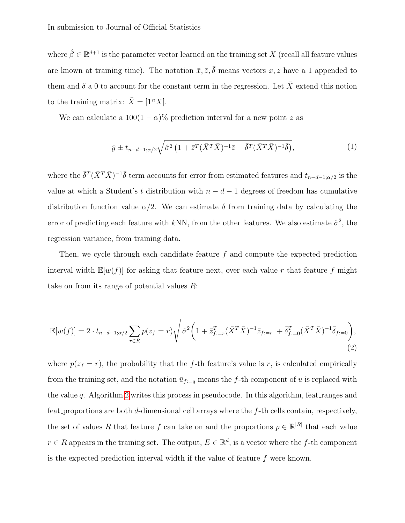where  $\hat{\beta} \in \mathbb{R}^{d+1}$  is the parameter vector learned on the training set X (recall all feature values are known at training time). The notation  $\bar{x}, \bar{z}, \bar{\delta}$  means vectors  $x, z$  have a 1 appended to them and  $\delta$  a 0 to account for the constant term in the regression. Let  $\bar{X}$  extend this notion to the training matrix:  $\bar{X} = [\mathbf{1}^n X].$ 

We can calculate a  $100(1 - \alpha)\%$  prediction interval for a new point z as

<span id="page-11-0"></span>
$$
\hat{y} \pm t_{n-d-1;\alpha/2} \sqrt{\hat{\sigma}^2 \left(1 + \bar{z}^T (\bar{X}^T \bar{X})^{-1} \bar{z} + \bar{\delta}^T (\bar{X}^T \bar{X})^{-1} \bar{\delta}}\right)},\tag{1}
$$

where the  $\bar{\delta}^T(\bar{X}^T\bar{X})^{-1}\bar{\delta}$  term accounts for error from estimated features and  $t_{n-d-1;\alpha/2}$  is the value at which a Student's t distribution with  $n - d - 1$  degrees of freedom has cumulative distribution function value  $\alpha/2$ . We can estimate  $\delta$  from training data by calculating the error of predicting each feature with kNN, from the other features. We also estimate  $\hat{\sigma}^2$ , the regression variance, from training data.

Then, we cycle through each candidate feature  $f$  and compute the expected prediction interval width  $\mathbb{E}[w(f)]$  for asking that feature next, over each value r that feature f might take on from its range of potential values  $R$ :

$$
\mathbb{E}[w(f)] = 2 \cdot t_{n-d-1;\alpha/2} \sum_{r \in R} p(z_f = r) \sqrt{\hat{\sigma}^2 \left(1 + \bar{z}_{f:=r}^T (\bar{X}^T \bar{X})^{-1} \bar{z}_{f:=r} + \bar{\delta}_{f:=0}^T (\bar{X}^T \bar{X})^{-1} \bar{\delta}_{f:=0}\right)},\tag{2}
$$

where  $p(z_f = r)$ , the probability that the f-th feature's value is r, is calculated empirically from the training set, and the notation  $\bar{u}_{f:=q}$  means the f-th component of u is replaced with the value q. Algorithm [2](#page-0-0) writes this process in pseudocode. In this algorithm, feat ranges and feat proportions are both  $d$ -dimensional cell arrays where the  $f$ -th cells contain, respectively, the set of values R that feature f can take on and the proportions  $p \in \mathbb{R}^{|R|}$  that each value  $r \in R$  appears in the training set. The output,  $E \in \mathbb{R}^d$ , is a vector where the f-th component is the expected prediction interval width if the value of feature f were known.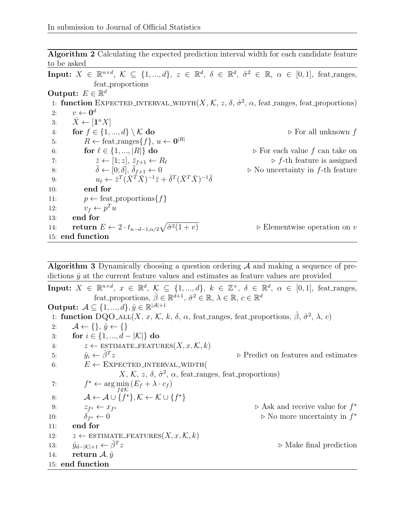Algorithm 2 Calculating the expected prediction interval width for each candidate feature to be asked

Input:  $X \in \mathbb{R}^{n \times d}$ ,  $\mathcal{K} \subseteq \{1, ..., d\}$ ,  $z \in \mathbb{R}^d$ ,  $\delta \in \mathbb{R}^d$ ,  $\hat{\sigma}^2 \in \mathbb{R}$ ,  $\alpha \in [0, 1]$ , feat\_ranges, feat proportions Output:  $E \in \mathbb{R}^d$ 1: function EXPECTED INTERVAL WIDTH $(X, \mathcal{K}, z, \delta, \hat{\sigma}^2, \alpha, \text{feat}\text{-}ranges, \text{feat}\text{-}proportions)$ 2:  $v \leftarrow 0^d$ 3:  $\bar{X} \leftarrow [\mathbf{1}^n X]$ 4: for  $f \in \{1, ..., d\} \setminus \mathcal{K}$  do  $\triangleright$  For all unknown f 5:  $R \leftarrow \text{feat\_ranges}\{f\}, u \leftarrow \mathbf{0}^{|R|}$ 6: **for**  $\ell \in \{1, ..., |R|\}$  do  $\triangleright$  For each value f can take on 7:  $\overline{z} \leftarrow [1; z], \overline{z}_{f+1} \leftarrow R_\ell$   $\triangleright f$ -th feature is assigned 8:  $\bar{\delta} \leftarrow [0; \delta], \bar{\delta}_{f+1} \leftarrow 0$   $\triangleright$  No uncertainty in f-th feature 9:  $u_{\ell} \leftarrow \bar{z}^T (\bar{X}^T \bar{X})^{-1} \bar{z} + \bar{\delta}^T (\bar{X}^T \bar{X})^{-1} \bar{\delta}$ 10: end for 11:  $p \leftarrow \text{feat\_proportions}\{f\}$ 12:  $v_f \leftarrow p^T u$ 13: end for 14: return  $E \leftarrow 2 \cdot t_{n-d-1;\alpha/2} \sqrt{\hat{\sigma}^2}$  $\triangleright$  Elementwise operation on v 15: end function

Algorithm 3 Dynamically choosing a question ordering  $A$  and making a sequence of predictions  $\hat{y}$  at the current feature values and estimates as feature values are provided

Input:  $X \in \mathbb{R}^{n \times d}$ ,  $x \in \mathbb{R}^d$ ,  $\mathcal{K} \subseteq \{1, ..., d\}$ ,  $k \in \mathbb{Z}^+$ ,  $\delta \in \mathbb{R}^d$ ,  $\alpha \in [0, 1]$ , feat\_ranges, feat proportions,  $\hat{\beta} \in \mathbb{R}^{d+1}$ ,  $\hat{\sigma}^2 \in \mathbb{R}$ ,  $\lambda \in \mathbb{R}$ ,  $c \in \mathbb{R}^d$ Output:  $\mathcal{A} \subseteq \{1, ..., d\}, \hat{y} \in \mathbb{R}^{|\mathcal{A}|+1}$ 1: function  $\text{DQO}_{\text{ALL}}(X, x, \mathcal{K}, k, \delta, \alpha, \text{feat\_ranges}, \text{feat\_proportions}, \hat{\beta}, \hat{\sigma}^2, \lambda, c)$ 2:  $\mathcal{A} \leftarrow \{\}, \hat{y} \leftarrow \{\}$ 3: for  $i \in \{1, ..., d - |\mathcal{K}|\}$  do 4:  $z \leftarrow \text{ESTIMATE\_FEATURE}(X, x, \mathcal{K}, k)$ 5:  $\hat{y}_i \leftarrow \hat{\beta}^T z$  $\triangleright$  Predict on features and estimates 6:  $E \leftarrow$  EXPECTED INTERVAL WIDTH(  $X, \mathcal{K}, z, \delta, \hat{\sigma}^2, \alpha$ , feat\_ranges, feat\_proportions)  $7:$  $\star \leftarrow \arg\min_{f \notin \mathcal{K}} (E_f + \lambda \cdot c_f)$ 8:  $\mathcal{A} \leftarrow \mathcal{A} \cup \{f^{\star}\}, \mathcal{K} \leftarrow \mathcal{K} \cup \{f^{\star}\}\$ 9:  $z_{f^*} \leftarrow x_f$  $\star$   $\triangleright$  Ask and receive value for  $f^*$ 10:  $\delta_{f^*} \leftarrow 0$  $\star \leftarrow 0$   $\triangleright$  No more uncertainty in  $f^*$ 11: end for 12:  $z \leftarrow \text{ESTIMATE\_FEATURE}(X, x, \mathcal{K}, k)$ 13:  $\hat{y}_{d-|\mathcal{K}|+1} \leftarrow \hat{\beta}^T z$  $\triangleright$  Make final prediction 14: return  $\mathcal{A}, \hat{y}$ 15: end function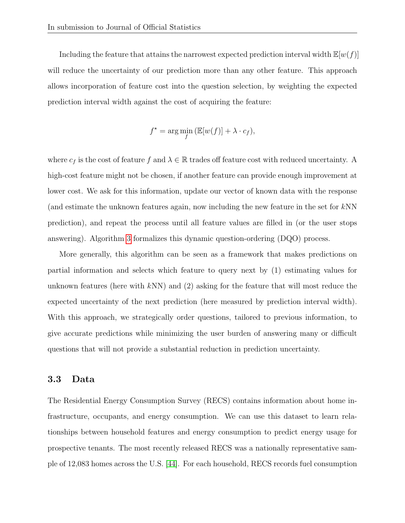Including the feature that attains the narrowest expected prediction interval width  $\mathbb{E}[w(f)]$ will reduce the uncertainty of our prediction more than any other feature. This approach allows incorporation of feature cost into the question selection, by weighting the expected prediction interval width against the cost of acquiring the feature:

$$
f^* = \arg\min_{f} (\mathbb{E}[w(f)] + \lambda \cdot c_f),
$$

where  $c_f$  is the cost of feature f and  $\lambda \in \mathbb{R}$  trades off feature cost with reduced uncertainty. A high-cost feature might not be chosen, if another feature can provide enough improvement at lower cost. We ask for this information, update our vector of known data with the response (and estimate the unknown features again, now including the new feature in the set for kNN prediction), and repeat the process until all feature values are filled in (or the user stops answering). Algorithm [3](#page-0-0) formalizes this dynamic question-ordering (DQO) process.

More generally, this algorithm can be seen as a framework that makes predictions on partial information and selects which feature to query next by (1) estimating values for unknown features (here with  $kNN$ ) and (2) asking for the feature that will most reduce the expected uncertainty of the next prediction (here measured by prediction interval width). With this approach, we strategically order questions, tailored to previous information, to give accurate predictions while minimizing the user burden of answering many or difficult questions that will not provide a substantial reduction in prediction uncertainty.

#### 3.3 Data

The Residential Energy Consumption Survey (RECS) contains information about home infrastructure, occupants, and energy consumption. We can use this dataset to learn relationships between household features and energy consumption to predict energy usage for prospective tenants. The most recently released RECS was a nationally representative sample of 12,083 homes across the U.S. [\[44\]](#page-34-2). For each household, RECS records fuel consumption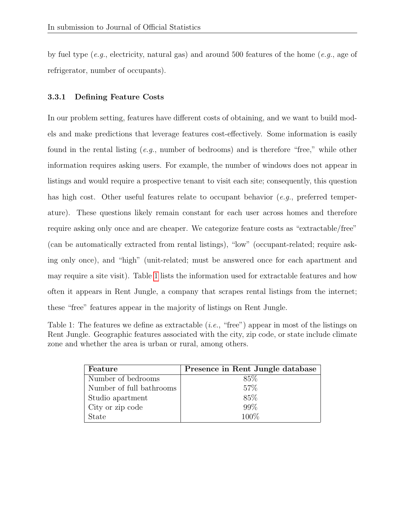by fuel type (e.g., electricity, natural gas) and around 500 features of the home (e.g., age of refrigerator, number of occupants).

#### 3.3.1 Defining Feature Costs

In our problem setting, features have different costs of obtaining, and we want to build models and make predictions that leverage features cost-effectively. Some information is easily found in the rental listing  $(e,q)$ , number of bedrooms) and is therefore "free," while other information requires asking users. For example, the number of windows does not appear in listings and would require a prospective tenant to visit each site; consequently, this question has high cost. Other useful features relate to occupant behavior (e.g., preferred temperature). These questions likely remain constant for each user across homes and therefore require asking only once and are cheaper. We categorize feature costs as "extractable/free" (can be automatically extracted from rental listings), "low" (occupant-related; require asking only once), and "high" (unit-related; must be answered once for each apartment and may require a site visit). Table [1](#page-14-0) lists the information used for extractable features and how often it appears in Rent Jungle, a company that scrapes rental listings from the internet; these "free" features appear in the majority of listings on Rent Jungle.

<span id="page-14-0"></span>Table 1: The features we define as extractable  $(i.e., "free")$  appear in most of the listings on Rent Jungle. Geographic features associated with the city, zip code, or state include climate zone and whether the area is urban or rural, among others.

| Feature                  | Presence in Rent Jungle database |  |  |
|--------------------------|----------------------------------|--|--|
| Number of bedrooms       | 85\%                             |  |  |
| Number of full bathrooms | 57%                              |  |  |
| Studio apartment         | 85%                              |  |  |
| City or zip code         | 99%                              |  |  |
| State                    | 100\%                            |  |  |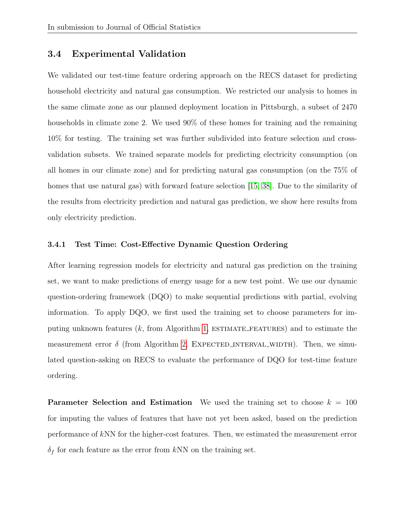### 3.4 Experimental Validation

We validated our test-time feature ordering approach on the RECS dataset for predicting household electricity and natural gas consumption. We restricted our analysis to homes in the same climate zone as our planned deployment location in Pittsburgh, a subset of 2470 households in climate zone 2. We used  $90\%$  of these homes for training and the remaining 10% for testing. The training set was further subdivided into feature selection and crossvalidation subsets. We trained separate models for predicting electricity consumption (on all homes in our climate zone) and for predicting natural gas consumption (on the 75% of homes that use natural gas) with forward feature selection [\[15,](#page-31-6) [38\]](#page-34-5). Due to the similarity of the results from electricity prediction and natural gas prediction, we show here results from only electricity prediction.

#### 3.4.1 Test Time: Cost-Effective Dynamic Question Ordering

After learning regression models for electricity and natural gas prediction on the training set, we want to make predictions of energy usage for a new test point. We use our dynamic question-ordering framework (DQO) to make sequential predictions with partial, evolving information. To apply DQO, we first used the training set to choose parameters for imputing unknown features  $(k, \text{ from Algorithm 1, ESTIMATE\_FEATURES})$  $(k, \text{ from Algorithm 1, ESTIMATE\_FEATURES})$  $(k, \text{ from Algorithm 1, ESTIMATE\_FEATURES})$  and to estimate the measurement error  $\delta$  (from Algorithm [2,](#page-0-0) EXPECTED INTERVAL WIDTH). Then, we simulated question-asking on RECS to evaluate the performance of DQO for test-time feature ordering.

**Parameter Selection and Estimation** We used the training set to choose  $k = 100$ for imputing the values of features that have not yet been asked, based on the prediction performance of kNN for the higher-cost features. Then, we estimated the measurement error  $\delta_f$  for each feature as the error from kNN on the training set.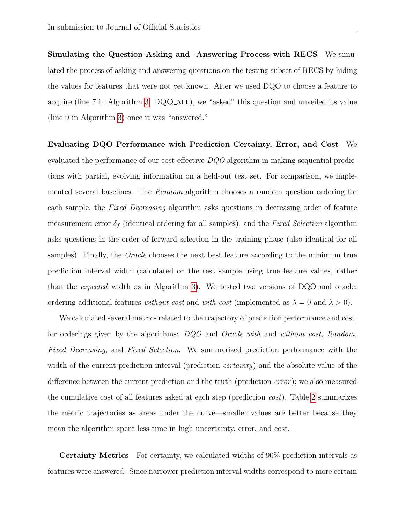Simulating the Question-Asking and -Answering Process with RECS We simulated the process of asking and answering questions on the testing subset of RECS by hiding the values for features that were not yet known. After we used DQO to choose a feature to acquire (line 7 in Algorithm [3,](#page-0-0) DQO ALL), we "asked" this question and unveiled its value (line 9 in Algorithm [3\)](#page-0-0) once it was "answered."

Evaluating DQO Performance with Prediction Certainty, Error, and Cost We evaluated the performance of our cost-effective DQO algorithm in making sequential predictions with partial, evolving information on a held-out test set. For comparison, we implemented several baselines. The Random algorithm chooses a random question ordering for each sample, the Fixed Decreasing algorithm asks questions in decreasing order of feature measurement error  $\delta_f$  (identical ordering for all samples), and the Fixed Selection algorithm asks questions in the order of forward selection in the training phase (also identical for all samples). Finally, the *Oracle* chooses the next best feature according to the minimum true prediction interval width (calculated on the test sample using true feature values, rather than the expected width as in Algorithm [3\)](#page-0-0). We tested two versions of DQO and oracle: ordering additional features without cost and with cost (implemented as  $\lambda = 0$  and  $\lambda > 0$ ).

We calculated several metrics related to the trajectory of prediction performance and cost, for orderings given by the algorithms: DQO and Oracle with and without cost, Random, Fixed Decreasing, and Fixed Selection. We summarized prediction performance with the width of the current prediction interval (prediction *certainty*) and the absolute value of the difference between the current prediction and the truth (prediction *error*); we also measured the cumulative cost of all features asked at each step (prediction cost). Table [2](#page-19-0) summarizes the metric trajectories as areas under the curve—smaller values are better because they mean the algorithm spent less time in high uncertainty, error, and cost.

Certainty Metrics For certainty, we calculated widths of 90% prediction intervals as features were answered. Since narrower prediction interval widths correspond to more certain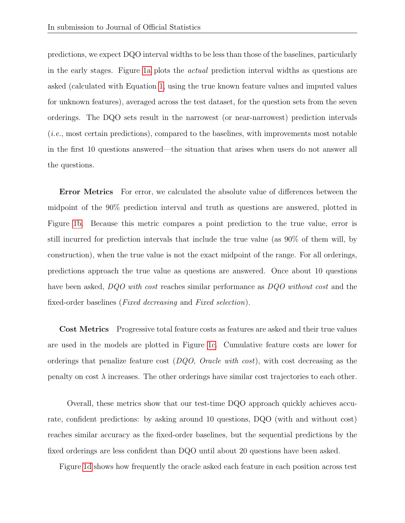predictions, we expect DQO interval widths to be less than those of the baselines, particularly in the early stages. Figure [1a](#page-18-0) plots the actual prediction interval widths as questions are asked (calculated with Equation [1,](#page-11-0) using the true known feature values and imputed values for unknown features), averaged across the test dataset, for the question sets from the seven orderings. The DQO sets result in the narrowest (or near-narrowest) prediction intervals (i.e., most certain predictions), compared to the baselines, with improvements most notable in the first 10 questions answered—the situation that arises when users do not answer all the questions.

**Error Metrics** For error, we calculated the absolute value of differences between the midpoint of the 90% prediction interval and truth as questions are answered, plotted in Figure [1b.](#page-18-0) Because this metric compares a point prediction to the true value, error is still incurred for prediction intervals that include the true value (as 90% of them will, by construction), when the true value is not the exact midpoint of the range. For all orderings, predictions approach the true value as questions are answered. Once about 10 questions have been asked, DQO with cost reaches similar performance as DQO without cost and the fixed-order baselines (Fixed decreasing and Fixed selection).

Cost Metrics Progressive total feature costs as features are asked and their true values are used in the models are plotted in Figure [1c.](#page-18-0) Cumulative feature costs are lower for orderings that penalize feature cost  $(DQO, Oracle with cost)$ , with cost decreasing as the penalty on cost  $\lambda$  increases. The other orderings have similar cost trajectories to each other.

Overall, these metrics show that our test-time DQO approach quickly achieves accurate, confident predictions: by asking around 10 questions, DQO (with and without cost) reaches similar accuracy as the fixed-order baselines, but the sequential predictions by the fixed orderings are less confident than DQO until about 20 questions have been asked.

Figure [1d](#page-18-0) shows how frequently the oracle asked each feature in each position across test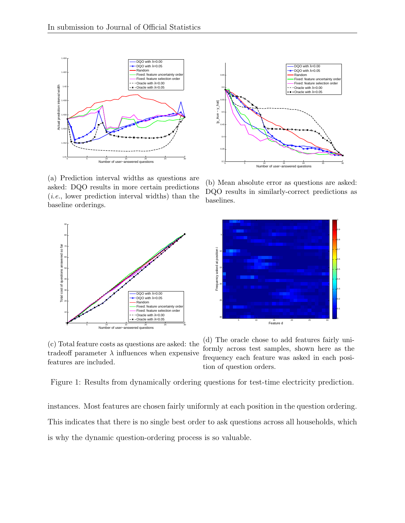<span id="page-18-0"></span>

(a) Prediction interval widths as questions are asked: DQO results in more certain predictions (i.e., lower prediction interval widths) than the baseline orderings.





(b) Mean absolute error as questions are asked: DQO results in similarly-correct predictions as baselines.



(c) Total feature costs as questions are asked: the tradeoff parameter  $\lambda$  influences when expensive features are included.

(d) The oracle chose to add features fairly uniformly across test samples, shown here as the frequency each feature was asked in each position of question orders.

Figure 1: Results from dynamically ordering questions for test-time electricity prediction.

instances. Most features are chosen fairly uniformly at each position in the question ordering. This indicates that there is no single best order to ask questions across all households, which is why the dynamic question-ordering process is so valuable.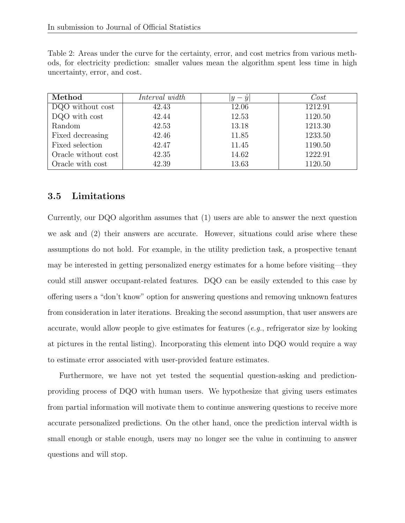<span id="page-19-0"></span>Table 2: Areas under the curve for the certainty, error, and cost metrics from various methods, for electricity prediction: smaller values mean the algorithm spent less time in high uncertainty, error, and cost.

| Method              | Interval width | $-\hat{y}$<br> y | Cost    |
|---------------------|----------------|------------------|---------|
| DQO without cost    | 42.43          | 12.06            | 1212.91 |
| DQO with cost       | 42.44          | 12.53            | 1120.50 |
| Random              | 42.53          | 13.18            | 1213.30 |
| Fixed decreasing    | 42.46          | 11.85            | 1233.50 |
| Fixed selection     | 42.47          | 11.45            | 1190.50 |
| Oracle without cost | 42.35          | 14.62            | 1222.91 |
| Oracle with cost    | 42.39          | 13.63            | 1120.50 |

## 3.5 Limitations

Currently, our DQO algorithm assumes that (1) users are able to answer the next question we ask and (2) their answers are accurate. However, situations could arise where these assumptions do not hold. For example, in the utility prediction task, a prospective tenant may be interested in getting personalized energy estimates for a home before visiting—they could still answer occupant-related features. DQO can be easily extended to this case by offering users a "don't know" option for answering questions and removing unknown features from consideration in later iterations. Breaking the second assumption, that user answers are accurate, would allow people to give estimates for features  $(e.g.,$  refrigerator size by looking at pictures in the rental listing). Incorporating this element into DQO would require a way to estimate error associated with user-provided feature estimates.

Furthermore, we have not yet tested the sequential question-asking and predictionproviding process of DQO with human users. We hypothesize that giving users estimates from partial information will motivate them to continue answering questions to receive more accurate personalized predictions. On the other hand, once the prediction interval width is small enough or stable enough, users may no longer see the value in continuing to answer questions and will stop.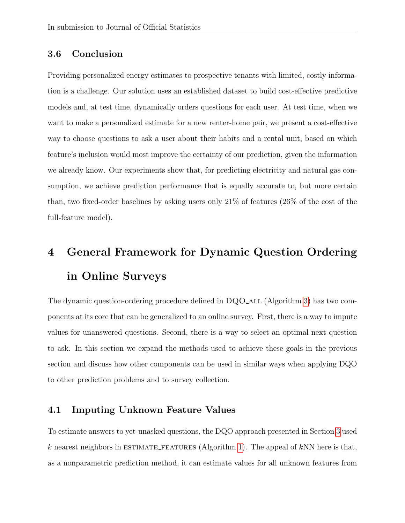### 3.6 Conclusion

Providing personalized energy estimates to prospective tenants with limited, costly information is a challenge. Our solution uses an established dataset to build cost-effective predictive models and, at test time, dynamically orders questions for each user. At test time, when we want to make a personalized estimate for a new renter-home pair, we present a cost-effective way to choose questions to ask a user about their habits and a rental unit, based on which feature's inclusion would most improve the certainty of our prediction, given the information we already know. Our experiments show that, for predicting electricity and natural gas consumption, we achieve prediction performance that is equally accurate to, but more certain than, two fixed-order baselines by asking users only 21% of features (26% of the cost of the full-feature model).

# <span id="page-20-0"></span>4 General Framework for Dynamic Question Ordering in Online Surveys

The dynamic question-ordering procedure defined in  $DQO$ <sub>-ALL</sub> (Algorithm [3\)](#page-0-0) has two components at its core that can be generalized to an online survey. First, there is a way to impute values for unanswered questions. Second, there is a way to select an optimal next question to ask. In this section we expand the methods used to achieve these goals in the previous section and discuss how other components can be used in similar ways when applying DQO to other prediction problems and to survey collection.

### 4.1 Imputing Unknown Feature Values

To estimate answers to yet-unasked questions, the DQO approach presented in Section [3](#page-7-0) used k nearest neighbors in ESTIMATE\_FEATURES (Algorithm [1\)](#page-0-0). The appeal of kNN here is that, as a nonparametric prediction method, it can estimate values for all unknown features from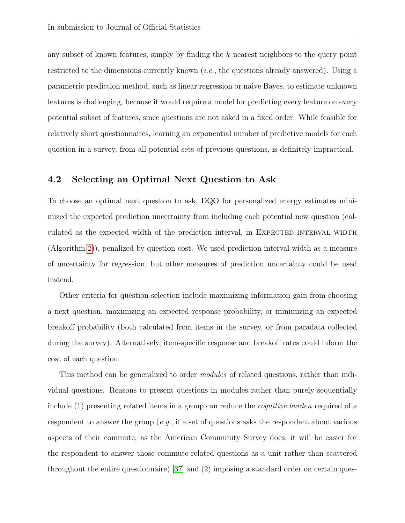any subset of known features, simply by finding the k nearest neighbors to the query point restricted to the dimensions currently known (i.e., the questions already answered). Using a parametric prediction method, such as linear regression or naive Bayes, to estimate unknown features is challenging, because it would require a model for predicting every feature on every potential subset of features, since questions are not asked in a fixed order. While feasible for relatively short questionnaires, learning an exponential number of predictive models for each question in a survey, from all potential sets of previous questions, is definitely impractical.

### 4.2 Selecting an Optimal Next Question to Ask

To choose an optimal next question to ask, DQO for personalized energy estimates minimized the expected prediction uncertainty from including each potential new question (calculated as the expected width of the prediction interval, in EXPECTED INTERVAL WIDTH (Algorithm [2\)](#page-0-0)), penalized by question cost. We used prediction interval width as a measure of uncertainty for regression, but other measures of prediction uncertainty could be used instead.

Other criteria for question-selection include maximizing information gain from choosing a next question, maximizing an expected response probability, or minimizing an expected breakoff probability (both calculated from items in the survey, or from paradata collected during the survey). Alternatively, item-specific response and breakoff rates could inform the cost of each question.

This method can be generalized to order *modules* of related questions, rather than individual questions. Reasons to present questions in modules rather than purely sequentially include (1) presenting related items in a group can reduce the *cognitive burden* required of a respondent to answer the group  $(e,q)$ , if a set of questions asks the respondent about various aspects of their commute, as the American Community Survey does, it will be easier for the respondent to answer those commute-related questions as a unit rather than scattered throughout the entire questionnaire) [\[37\]](#page-34-6) and (2) imposing a standard order on certain ques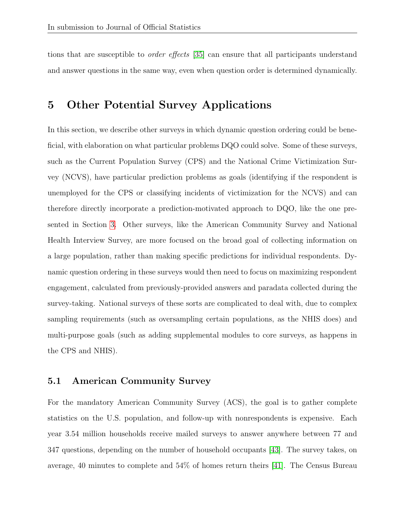tions that are susceptible to order effects [\[35\]](#page-34-0) can ensure that all participants understand and answer questions in the same way, even when question order is determined dynamically.

## <span id="page-22-0"></span>5 Other Potential Survey Applications

In this section, we describe other surveys in which dynamic question ordering could be beneficial, with elaboration on what particular problems DQO could solve. Some of these surveys, such as the Current Population Survey (CPS) and the National Crime Victimization Survey (NCVS), have particular prediction problems as goals (identifying if the respondent is unemployed for the CPS or classifying incidents of victimization for the NCVS) and can therefore directly incorporate a prediction-motivated approach to DQO, like the one presented in Section [3.](#page-7-0) Other surveys, like the American Community Survey and National Health Interview Survey, are more focused on the broad goal of collecting information on a large population, rather than making specific predictions for individual respondents. Dynamic question ordering in these surveys would then need to focus on maximizing respondent engagement, calculated from previously-provided answers and paradata collected during the survey-taking. National surveys of these sorts are complicated to deal with, due to complex sampling requirements (such as oversampling certain populations, as the NHIS does) and multi-purpose goals (such as adding supplemental modules to core surveys, as happens in the CPS and NHIS).

#### 5.1 American Community Survey

For the mandatory American Community Survey (ACS), the goal is to gather complete statistics on the U.S. population, and follow-up with nonrespondents is expensive. Each year 3.54 million households receive mailed surveys to answer anywhere between 77 and 347 questions, depending on the number of household occupants [\[43\]](#page-34-7). The survey takes, on average, 40 minutes to complete and 54% of homes return theirs [\[41\]](#page-34-8). The Census Bureau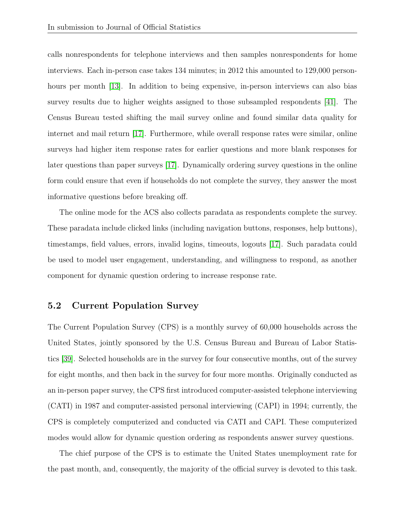calls nonrespondents for telephone interviews and then samples nonrespondents for home interviews. Each in-person case takes 134 minutes; in 2012 this amounted to 129,000 personhours per month [\[13\]](#page-31-8). In addition to being expensive, in-person interviews can also bias survey results due to higher weights assigned to those subsampled respondents [\[41\]](#page-34-8). The Census Bureau tested shifting the mail survey online and found similar data quality for internet and mail return [\[17\]](#page-31-9). Furthermore, while overall response rates were similar, online surveys had higher item response rates for earlier questions and more blank responses for later questions than paper surveys [\[17\]](#page-31-9). Dynamically ordering survey questions in the online form could ensure that even if households do not complete the survey, they answer the most informative questions before breaking off.

The online mode for the ACS also collects paradata as respondents complete the survey. These paradata include clicked links (including navigation buttons, responses, help buttons), timestamps, field values, errors, invalid logins, timeouts, logouts [\[17\]](#page-31-9). Such paradata could be used to model user engagement, understanding, and willingness to respond, as another component for dynamic question ordering to increase response rate.

#### 5.2 Current Population Survey

The Current Population Survey (CPS) is a monthly survey of 60,000 households across the United States, jointly sponsored by the U.S. Census Bureau and Bureau of Labor Statistics [\[39\]](#page-34-9). Selected households are in the survey for four consecutive months, out of the survey for eight months, and then back in the survey for four more months. Originally conducted as an in-person paper survey, the CPS first introduced computer-assisted telephone interviewing (CATI) in 1987 and computer-assisted personal interviewing (CAPI) in 1994; currently, the CPS is completely computerized and conducted via CATI and CAPI. These computerized modes would allow for dynamic question ordering as respondents answer survey questions.

The chief purpose of the CPS is to estimate the United States unemployment rate for the past month, and, consequently, the majority of the official survey is devoted to this task.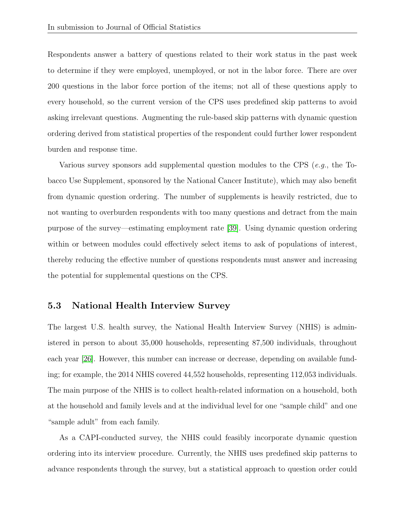Respondents answer a battery of questions related to their work status in the past week to determine if they were employed, unemployed, or not in the labor force. There are over 200 questions in the labor force portion of the items; not all of these questions apply to every household, so the current version of the CPS uses predefined skip patterns to avoid asking irrelevant questions. Augmenting the rule-based skip patterns with dynamic question ordering derived from statistical properties of the respondent could further lower respondent burden and response time.

Various survey sponsors add supplemental question modules to the CPS (e.g., the Tobacco Use Supplement, sponsored by the National Cancer Institute), which may also benefit from dynamic question ordering. The number of supplements is heavily restricted, due to not wanting to overburden respondents with too many questions and detract from the main purpose of the survey—estimating employment rate [\[39\]](#page-34-9). Using dynamic question ordering within or between modules could effectively select items to ask of populations of interest, thereby reducing the effective number of questions respondents must answer and increasing the potential for supplemental questions on the CPS.

#### 5.3 National Health Interview Survey

The largest U.S. health survey, the National Health Interview Survey (NHIS) is administered in person to about 35,000 households, representing 87,500 individuals, throughout each year [\[26\]](#page-32-6). However, this number can increase or decrease, depending on available funding; for example, the 2014 NHIS covered 44,552 households, representing 112,053 individuals. The main purpose of the NHIS is to collect health-related information on a household, both at the household and family levels and at the individual level for one "sample child" and one "sample adult" from each family.

As a CAPI-conducted survey, the NHIS could feasibly incorporate dynamic question ordering into its interview procedure. Currently, the NHIS uses predefined skip patterns to advance respondents through the survey, but a statistical approach to question order could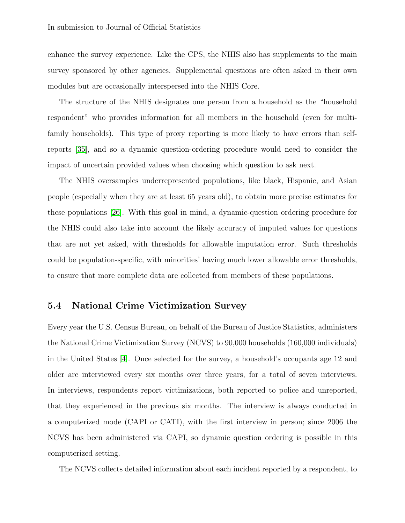enhance the survey experience. Like the CPS, the NHIS also has supplements to the main survey sponsored by other agencies. Supplemental questions are often asked in their own modules but are occasionally interspersed into the NHIS Core.

The structure of the NHIS designates one person from a household as the "household respondent" who provides information for all members in the household (even for multifamily households). This type of proxy reporting is more likely to have errors than selfreports [\[35\]](#page-34-0), and so a dynamic question-ordering procedure would need to consider the impact of uncertain provided values when choosing which question to ask next.

The NHIS oversamples underrepresented populations, like black, Hispanic, and Asian people (especially when they are at least 65 years old), to obtain more precise estimates for these populations [\[26\]](#page-32-6). With this goal in mind, a dynamic-question ordering procedure for the NHIS could also take into account the likely accuracy of imputed values for questions that are not yet asked, with thresholds for allowable imputation error. Such thresholds could be population-specific, with minorities' having much lower allowable error thresholds, to ensure that more complete data are collected from members of these populations.

#### 5.4 National Crime Victimization Survey

Every year the U.S. Census Bureau, on behalf of the Bureau of Justice Statistics, administers the National Crime Victimization Survey (NCVS) to 90,000 households (160,000 individuals) in the United States [\[4\]](#page-30-6). Once selected for the survey, a household's occupants age 12 and older are interviewed every six months over three years, for a total of seven interviews. In interviews, respondents report victimizations, both reported to police and unreported, that they experienced in the previous six months. The interview is always conducted in a computerized mode (CAPI or CATI), with the first interview in person; since 2006 the NCVS has been administered via CAPI, so dynamic question ordering is possible in this computerized setting.

The NCVS collects detailed information about each incident reported by a respondent, to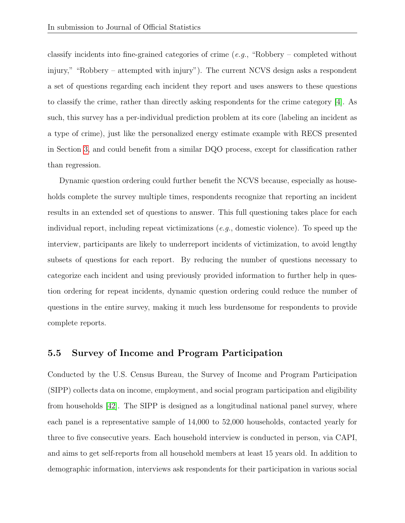classify incidents into fine-grained categories of crime (e.g., "Robbery – completed without injury," "Robbery – attempted with injury"). The current NCVS design asks a respondent a set of questions regarding each incident they report and uses answers to these questions to classify the crime, rather than directly asking respondents for the crime category [\[4\]](#page-30-6). As such, this survey has a per-individual prediction problem at its core (labeling an incident as a type of crime), just like the personalized energy estimate example with RECS presented in Section [3,](#page-7-0) and could benefit from a similar DQO process, except for classification rather than regression.

Dynamic question ordering could further benefit the NCVS because, especially as households complete the survey multiple times, respondents recognize that reporting an incident results in an extended set of questions to answer. This full questioning takes place for each individual report, including repeat victimizations  $(e.g.,$  domestic violence). To speed up the interview, participants are likely to underreport incidents of victimization, to avoid lengthy subsets of questions for each report. By reducing the number of questions necessary to categorize each incident and using previously provided information to further help in question ordering for repeat incidents, dynamic question ordering could reduce the number of questions in the entire survey, making it much less burdensome for respondents to provide complete reports.

#### 5.5 Survey of Income and Program Participation

Conducted by the U.S. Census Bureau, the Survey of Income and Program Participation (SIPP) collects data on income, employment, and social program participation and eligibility from households [\[42\]](#page-34-10). The SIPP is designed as a longitudinal national panel survey, where each panel is a representative sample of 14,000 to 52,000 households, contacted yearly for three to five consecutive years. Each household interview is conducted in person, via CAPI, and aims to get self-reports from all household members at least 15 years old. In addition to demographic information, interviews ask respondents for their participation in various social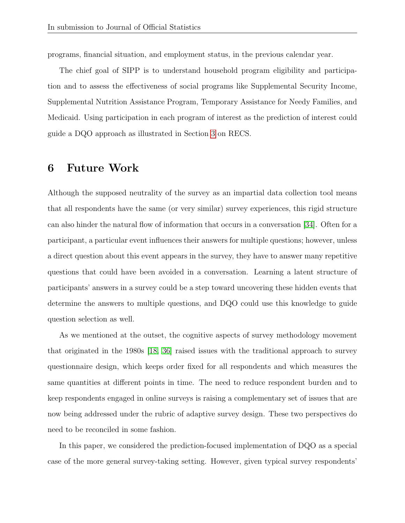programs, financial situation, and employment status, in the previous calendar year.

The chief goal of SIPP is to understand household program eligibility and participation and to assess the effectiveness of social programs like Supplemental Security Income, Supplemental Nutrition Assistance Program, Temporary Assistance for Needy Families, and Medicaid. Using participation in each program of interest as the prediction of interest could guide a DQO approach as illustrated in Section [3](#page-7-0) on RECS.

## <span id="page-27-0"></span>6 Future Work

Although the supposed neutrality of the survey as an impartial data collection tool means that all respondents have the same (or very similar) survey experiences, this rigid structure can also hinder the natural flow of information that occurs in a conversation [\[34\]](#page-33-4). Often for a participant, a particular event influences their answers for multiple questions; however, unless a direct question about this event appears in the survey, they have to answer many repetitive questions that could have been avoided in a conversation. Learning a latent structure of participants' answers in a survey could be a step toward uncovering these hidden events that determine the answers to multiple questions, and DQO could use this knowledge to guide question selection as well.

As we mentioned at the outset, the cognitive aspects of survey methodology movement that originated in the 1980s [\[18,](#page-31-0) [36\]](#page-34-1) raised issues with the traditional approach to survey questionnaire design, which keeps order fixed for all respondents and which measures the same quantities at different points in time. The need to reduce respondent burden and to keep respondents engaged in online surveys is raising a complementary set of issues that are now being addressed under the rubric of adaptive survey design. These two perspectives do need to be reconciled in some fashion.

In this paper, we considered the prediction-focused implementation of DQO as a special case of the more general survey-taking setting. However, given typical survey respondents'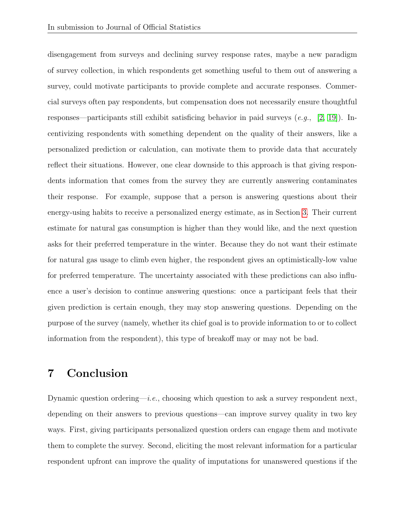disengagement from surveys and declining survey response rates, maybe a new paradigm of survey collection, in which respondents get something useful to them out of answering a survey, could motivate participants to provide complete and accurate responses. Commercial surveys often pay respondents, but compensation does not necessarily ensure thoughtful responses—participants still exhibit satisficing behavior in paid surveys  $(e,q, [2, 19])$  $(e,q, [2, 19])$  $(e,q, [2, 19])$  $(e,q, [2, 19])$ . Incentivizing respondents with something dependent on the quality of their answers, like a personalized prediction or calculation, can motivate them to provide data that accurately reflect their situations. However, one clear downside to this approach is that giving respondents information that comes from the survey they are currently answering contaminates their response. For example, suppose that a person is answering questions about their energy-using habits to receive a personalized energy estimate, as in Section [3.](#page-7-0) Their current estimate for natural gas consumption is higher than they would like, and the next question asks for their preferred temperature in the winter. Because they do not want their estimate for natural gas usage to climb even higher, the respondent gives an optimistically-low value for preferred temperature. The uncertainty associated with these predictions can also influence a user's decision to continue answering questions: once a participant feels that their given prediction is certain enough, they may stop answering questions. Depending on the purpose of the survey (namely, whether its chief goal is to provide information to or to collect information from the respondent), this type of breakoff may or may not be bad.

## <span id="page-28-0"></span>7 Conclusion

Dynamic question ordering—*i.e.*, choosing which question to ask a survey respondent next, depending on their answers to previous questions—can improve survey quality in two key ways. First, giving participants personalized question orders can engage them and motivate them to complete the survey. Second, eliciting the most relevant information for a particular respondent upfront can improve the quality of imputations for unanswered questions if the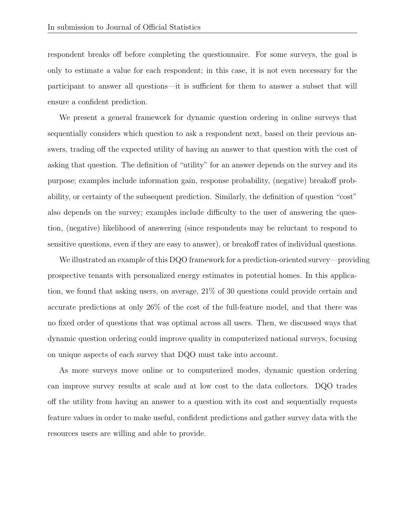respondent breaks off before completing the questionnaire. For some surveys, the goal is only to estimate a value for each respondent; in this case, it is not even necessary for the participant to answer all questions—it is sufficient for them to answer a subset that will ensure a confident prediction.

We present a general framework for dynamic question ordering in online surveys that sequentially considers which question to ask a respondent next, based on their previous answers, trading off the expected utility of having an answer to that question with the cost of asking that question. The definition of "utility" for an answer depends on the survey and its purpose; examples include information gain, response probability, (negative) breakoff probability, or certainty of the subsequent prediction. Similarly, the definition of question "cost" also depends on the survey; examples include difficulty to the user of answering the question, (negative) likelihood of answering (since respondents may be reluctant to respond to sensitive questions, even if they are easy to answer), or breakoff rates of individual questions.

We illustrated an example of this DQO framework for a prediction-oriented survey—providing prospective tenants with personalized energy estimates in potential homes. In this application, we found that asking users, on average, 21% of 30 questions could provide certain and accurate predictions at only 26% of the cost of the full-feature model, and that there was no fixed order of questions that was optimal across all users. Then, we discussed ways that dynamic question ordering could improve quality in computerized national surveys, focusing on unique aspects of each survey that DQO must take into account.

As more surveys move online or to computerized modes, dynamic question ordering can improve survey results at scale and at low cost to the data collectors. DQO trades off the utility from having an answer to a question with its cost and sequentially requests feature values in order to make useful, confident predictions and gather survey data with the resources users are willing and able to provide.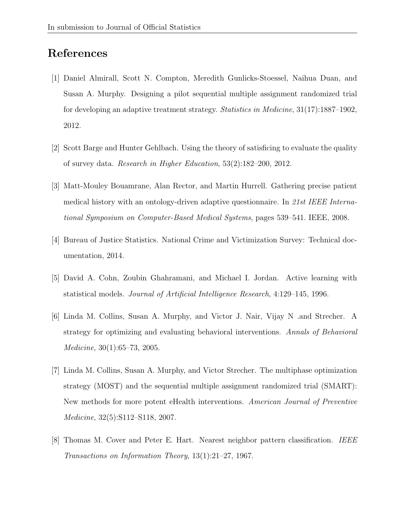# <span id="page-30-3"></span>References

- [1] Daniel Almirall, Scott N. Compton, Meredith Gunlicks-Stoessel, Naihua Duan, and Susan A. Murphy. Designing a pilot sequential multiple assignment randomized trial for developing an adaptive treatment strategy. Statistics in Medicine, 31(17):1887–1902, 2012.
- <span id="page-30-7"></span>[2] Scott Barge and Hunter Gehlbach. Using the theory of satisficing to evaluate the quality of survey data. Research in Higher Education, 53(2):182–200, 2012.
- <span id="page-30-0"></span>[3] Matt-Mouley Bouamrane, Alan Rector, and Martin Hurrell. Gathering precise patient medical history with an ontology-driven adaptive questionnaire. In 21st IEEE International Symposium on Computer-Based Medical Systems, pages 539–541. IEEE, 2008.
- <span id="page-30-6"></span>[4] Bureau of Justice Statistics. National Crime and Victimization Survey: Technical documentation, 2014.
- <span id="page-30-4"></span>[5] David A. Cohn, Zoubin Ghahramani, and Michael I. Jordan. Active learning with statistical models. Journal of Artificial Intelligence Research, 4:129–145, 1996.
- <span id="page-30-2"></span>[6] Linda M. Collins, Susan A. Murphy, and Victor J. Nair, Vijay N .and Strecher. A strategy for optimizing and evaluating behavioral interventions. Annals of Behavioral Medicine, 30(1):65–73, 2005.
- <span id="page-30-1"></span>[7] Linda M. Collins, Susan A. Murphy, and Victor Strecher. The multiphase optimization strategy (MOST) and the sequential multiple assignment randomized trial (SMART): New methods for more potent eHealth interventions. American Journal of Preventive Medicine, 32(5):S112–S118, 2007.
- <span id="page-30-5"></span>[8] Thomas M. Cover and Peter E. Hart. Nearest neighbor pattern classification. *IEEE* Transactions on Information Theory, 13(1):21–27, 1967.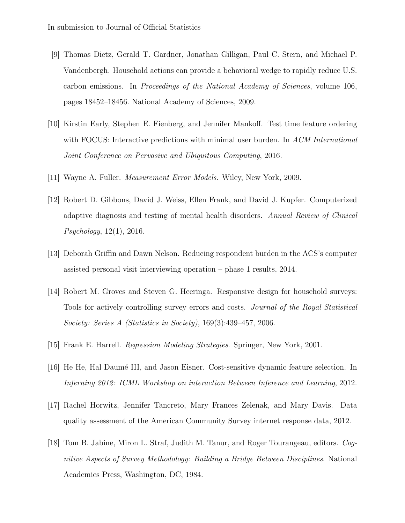- <span id="page-31-4"></span>[9] Thomas Dietz, Gerald T. Gardner, Jonathan Gilligan, Paul C. Stern, and Michael P. Vandenbergh. Household actions can provide a behavioral wedge to rapidly reduce U.S. carbon emissions. In Proceedings of the National Academy of Sciences, volume 106, pages 18452–18456. National Academy of Sciences, 2009.
- <span id="page-31-5"></span>[10] Kirstin Early, Stephen E. Fienberg, and Jennifer Mankoff. Test time feature ordering with FOCUS: Interactive predictions with minimal user burden. In ACM International Joint Conference on Pervasive and Ubiquitous Computing, 2016.
- <span id="page-31-7"></span><span id="page-31-2"></span>[11] Wayne A. Fuller. Measurement Error Models. Wiley, New York, 2009.
- [12] Robert D. Gibbons, David J. Weiss, Ellen Frank, and David J. Kupfer. Computerized adaptive diagnosis and testing of mental health disorders. Annual Review of Clinical Psychology, 12(1), 2016.
- <span id="page-31-8"></span>[13] Deborah Griffin and Dawn Nelson. Reducing respondent burden in the ACS's computer assisted personal visit interviewing operation – phase 1 results, 2014.
- <span id="page-31-1"></span>[14] Robert M. Groves and Steven G. Heeringa. Responsive design for household surveys: Tools for actively controlling survey errors and costs. Journal of the Royal Statistical Society: Series A (Statistics in Society), 169(3):439–457, 2006.
- <span id="page-31-6"></span><span id="page-31-3"></span>[15] Frank E. Harrell. Regression Modeling Strategies. Springer, New York, 2001.
- [16] He He, Hal Daum´e III, and Jason Eisner. Cost-sensitive dynamic feature selection. In Inferning 2012: ICML Workshop on interaction Between Inference and Learning, 2012.
- <span id="page-31-9"></span>[17] Rachel Horwitz, Jennifer Tancreto, Mary Frances Zelenak, and Mary Davis. Data quality assessment of the American Community Survey internet response data, 2012.
- <span id="page-31-0"></span>[18] Tom B. Jabine, Miron L. Straf, Judith M. Tanur, and Roger Tourangeau, editors. Cognitive Aspects of Survey Methodology: Building a Bridge Between Disciplines. National Academies Press, Washington, DC, 1984.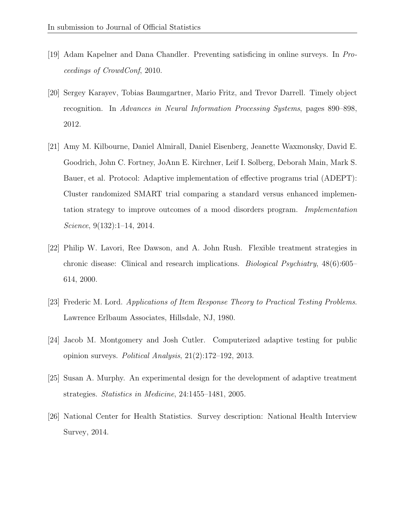- <span id="page-32-7"></span>[19] Adam Kapelner and Dana Chandler. Preventing satisficing in online surveys. In Proceedings of CrowdConf, 2010.
- <span id="page-32-5"></span>[20] Sergey Karayev, Tobias Baumgartner, Mario Fritz, and Trevor Darrell. Timely object recognition. In Advances in Neural Information Processing Systems, pages 890–898, 2012.
- <span id="page-32-2"></span>[21] Amy M. Kilbourne, Daniel Almirall, Daniel Eisenberg, Jeanette Waxmonsky, David E. Goodrich, John C. Fortney, JoAnn E. Kirchner, Leif I. Solberg, Deborah Main, Mark S. Bauer, et al. Protocol: Adaptive implementation of effective programs trial (ADEPT): Cluster randomized SMART trial comparing a standard versus enhanced implementation strategy to improve outcomes of a mood disorders program. Implementation Science, 9(132):1–14, 2014.
- <span id="page-32-1"></span>[22] Philip W. Lavori, Ree Dawson, and A. John Rush. Flexible treatment strategies in chronic disease: Clinical and research implications. Biological Psychiatry, 48(6):605– 614, 2000.
- <span id="page-32-3"></span>[23] Frederic M. Lord. Applications of Item Response Theory to Practical Testing Problems. Lawrence Erlbaum Associates, Hillsdale, NJ, 1980.
- <span id="page-32-4"></span>[24] Jacob M. Montgomery and Josh Cutler. Computerized adaptive testing for public opinion surveys. Political Analysis, 21(2):172–192, 2013.
- <span id="page-32-0"></span>[25] Susan A. Murphy. An experimental design for the development of adaptive treatment strategies. Statistics in Medicine, 24:1455–1481, 2005.
- <span id="page-32-6"></span>[26] National Center for Health Statistics. Survey description: National Health Interview Survey, 2014.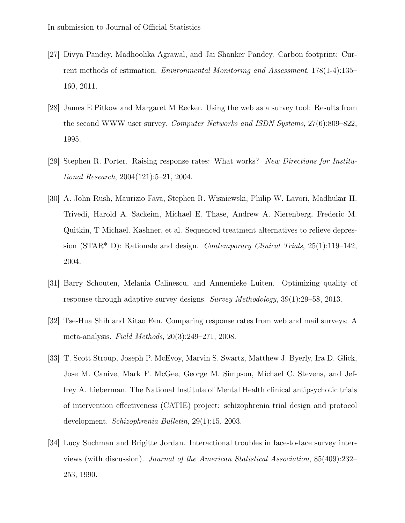- <span id="page-33-3"></span>[27] Divya Pandey, Madhoolika Agrawal, and Jai Shanker Pandey. Carbon footprint: Current methods of estimation. Environmental Monitoring and Assessment, 178(1-4):135– 160, 2011.
- <span id="page-33-2"></span>[28] James E Pitkow and Margaret M Recker. Using the web as a survey tool: Results from the second WWW user survey. *Computer Networks and ISDN Systems*, 27(6):809–822, 1995.
- <span id="page-33-0"></span>[29] Stephen R. Porter. Raising response rates: What works? New Directions for Institutional Research, 2004(121):5–21, 2004.
- <span id="page-33-6"></span>[30] A. John Rush, Maurizio Fava, Stephen R. Wisniewski, Philip W. Lavori, Madhukar H. Trivedi, Harold A. Sackeim, Michael E. Thase, Andrew A. Nierenberg, Frederic M. Quitkin, T Michael. Kashner, et al. Sequenced treatment alternatives to relieve depression (STAR<sup>\*</sup> D): Rationale and design. *Contemporary Clinical Trials*,  $25(1)$ :119–142, 2004.
- <span id="page-33-5"></span>[31] Barry Schouten, Melania Calinescu, and Annemieke Luiten. Optimizing quality of response through adaptive survey designs. Survey Methodology, 39(1):29–58, 2013.
- <span id="page-33-1"></span>[32] Tse-Hua Shih and Xitao Fan. Comparing response rates from web and mail surveys: A meta-analysis. Field Methods, 20(3):249–271, 2008.
- <span id="page-33-7"></span>[33] T. Scott Stroup, Joseph P. McEvoy, Marvin S. Swartz, Matthew J. Byerly, Ira D. Glick, Jose M. Canive, Mark F. McGee, George M. Simpson, Michael C. Stevens, and Jeffrey A. Lieberman. The National Institute of Mental Health clinical antipsychotic trials of intervention effectiveness (CATIE) project: schizophrenia trial design and protocol development. Schizophrenia Bulletin, 29(1):15, 2003.
- <span id="page-33-4"></span>[34] Lucy Suchman and Brigitte Jordan. Interactional troubles in face-to-face survey interviews (with discussion). Journal of the American Statistical Association, 85(409):232– 253, 1990.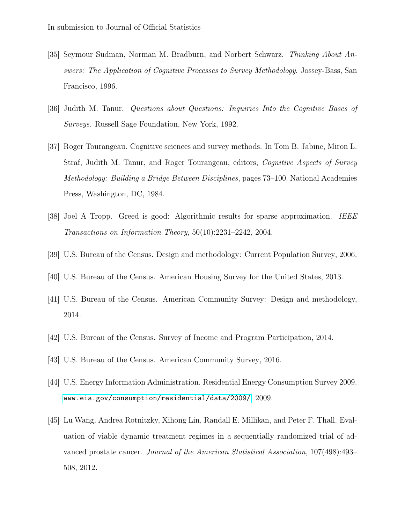- <span id="page-34-0"></span>[35] Seymour Sudman, Norman M. Bradburn, and Norbert Schwarz. Thinking About Answers: The Application of Cognitive Processes to Survey Methodology. Jossey-Bass, San Francisco, 1996.
- <span id="page-34-1"></span>[36] Judith M. Tanur. Questions about Questions: Inquiries Into the Cognitive Bases of Surveys. Russell Sage Foundation, New York, 1992.
- <span id="page-34-6"></span>[37] Roger Tourangeau. Cognitive sciences and survey methods. In Tom B. Jabine, Miron L. Straf, Judith M. Tanur, and Roger Tourangeau, editors, Cognitive Aspects of Survey Methodology: Building a Bridge Between Disciplines, pages 73–100. National Academies Press, Washington, DC, 1984.
- <span id="page-34-5"></span>[38] Joel A Tropp. Greed is good: Algorithmic results for sparse approximation. IEEE Transactions on Information Theory, 50(10):2231–2242, 2004.
- <span id="page-34-9"></span><span id="page-34-4"></span>[39] U.S. Bureau of the Census. Design and methodology: Current Population Survey, 2006.
- <span id="page-34-8"></span>[40] U.S. Bureau of the Census. American Housing Survey for the United States, 2013.
- [41] U.S. Bureau of the Census. American Community Survey: Design and methodology, 2014.
- <span id="page-34-10"></span><span id="page-34-7"></span>[42] U.S. Bureau of the Census. Survey of Income and Program Participation, 2014.
- <span id="page-34-2"></span>[43] U.S. Bureau of the Census. American Community Survey, 2016.
- [44] U.S. Energy Information Administration. Residential Energy Consumption Survey 2009. <www.eia.gov/consumption/residential/data/2009/>, 2009.
- <span id="page-34-3"></span>[45] Lu Wang, Andrea Rotnitzky, Xihong Lin, Randall E. Millikan, and Peter F. Thall. Evaluation of viable dynamic treatment regimes in a sequentially randomized trial of advanced prostate cancer. Journal of the American Statistical Association, 107(498):493– 508, 2012.